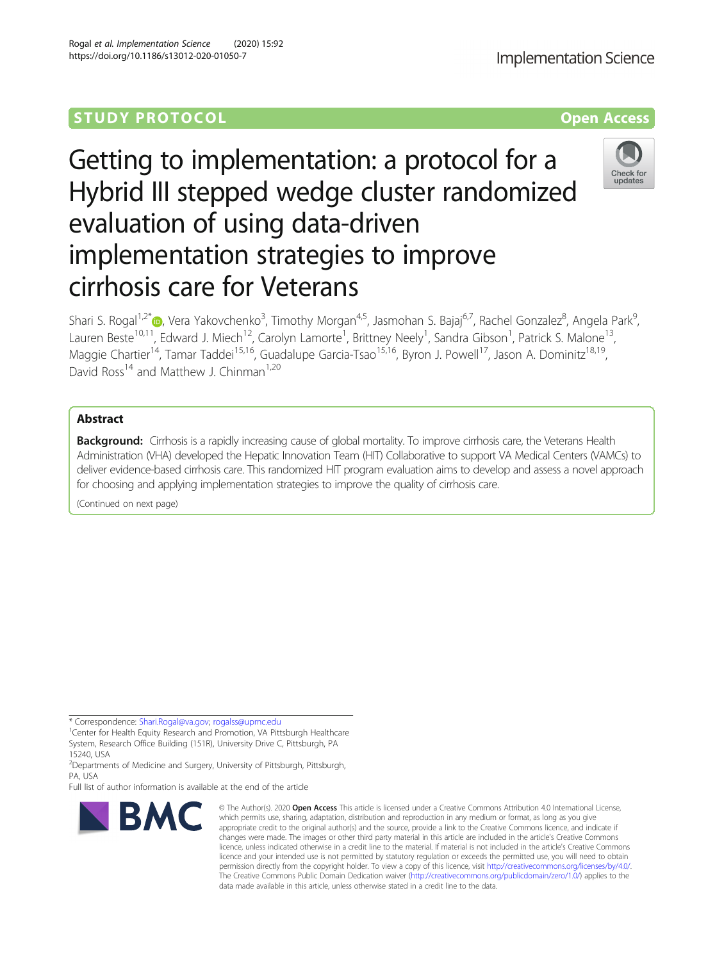## **STUDY PROTOCOL CONSUMING THE RESERVE ACCESS**

# Getting to implementation: a protocol for a Hybrid III stepped wedge cluster randomized evaluation of using data-driven implementation strategies to improve cirrhosis care for Veterans

Shari S. Rogal<sup>1[,](http://orcid.org/0000-0001-8184-1546)2\*</sup>®, Vera Yakovchenko<sup>3</sup>, Timothy Morgan<sup>4,5</sup>, Jasmohan S. Bajaj<sup>6,7</sup>, Rachel Gonzalez<sup>8</sup>, Angela Park<sup>9</sup> , Lauren Beste<sup>10,11</sup>, Edward J. Miech<sup>12</sup>, Carolyn Lamorte<sup>1</sup>, Brittney Neely<sup>1</sup>, Sandra Gibson<sup>1</sup>, Patrick S. Malone<sup>13</sup>, Maggie Chartier<sup>14</sup>, Tamar Taddei<sup>15,16</sup>, Guadalupe Garcia-Tsao<sup>15,16</sup>, Byron J. Powell<sup>17</sup>, Jason A. Dominitz<sup>18,19</sup>, David Ross<sup>14</sup> and Matthew J. Chinman<sup>1,20</sup>

## Abstract

**Background:** Cirrhosis is a rapidly increasing cause of global mortality. To improve cirrhosis care, the Veterans Health Administration (VHA) developed the Hepatic Innovation Team (HIT) Collaborative to support VA Medical Centers (VAMCs) to deliver evidence-based cirrhosis care. This randomized HIT program evaluation aims to develop and assess a novel approach for choosing and applying implementation strategies to improve the quality of cirrhosis care.

(Continued on next page)

\* Correspondence: [Shari.Rogal@va.gov;](mailto:Shari.Rogal@va.gov) [rogalss@upmc.edu](mailto:rogalss@upmc.edu) <sup>1</sup>

<sup>1</sup> Center for Health Equity Research and Promotion, VA Pittsburgh Healthcare System, Research Office Building (151R), University Drive C, Pittsburgh, PA 15240, USA

<sup>2</sup>Departments of Medicine and Surgery, University of Pittsburgh, Pittsburgh, PA, USA

Full list of author information is available at the end of the article





<sup>©</sup> The Author(s), 2020 **Open Access** This article is licensed under a Creative Commons Attribution 4.0 International License, which permits use, sharing, adaptation, distribution and reproduction in any medium or format, as long as you give appropriate credit to the original author(s) and the source, provide a link to the Creative Commons licence, and indicate if changes were made. The images or other third party material in this article are included in the article's Creative Commons licence, unless indicated otherwise in a credit line to the material. If material is not included in the article's Creative Commons licence and your intended use is not permitted by statutory regulation or exceeds the permitted use, you will need to obtain permission directly from the copyright holder. To view a copy of this licence, visit [http://creativecommons.org/licenses/by/4.0/.](http://creativecommons.org/licenses/by/4.0/) The Creative Commons Public Domain Dedication waiver [\(http://creativecommons.org/publicdomain/zero/1.0/](http://creativecommons.org/publicdomain/zero/1.0/)) applies to the data made available in this article, unless otherwise stated in a credit line to the data.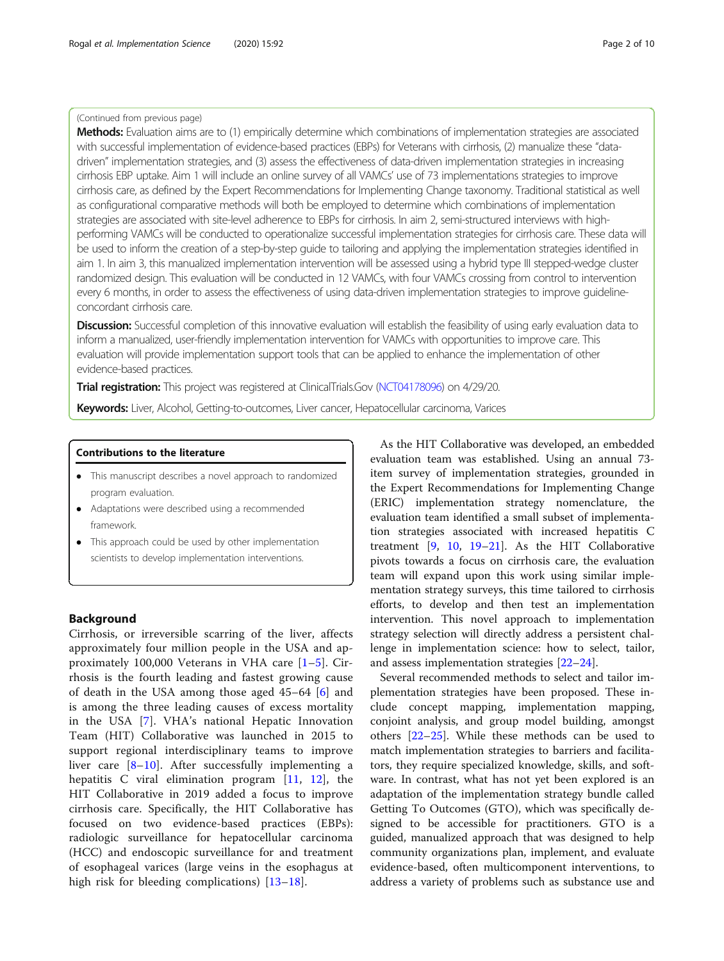## (Continued from previous page)

Methods: Evaluation aims are to (1) empirically determine which combinations of implementation strategies are associated with successful implementation of evidence-based practices (EBPs) for Veterans with cirrhosis, (2) manualize these "datadriven" implementation strategies, and (3) assess the effectiveness of data-driven implementation strategies in increasing cirrhosis EBP uptake. Aim 1 will include an online survey of all VAMCs' use of 73 implementations strategies to improve cirrhosis care, as defined by the Expert Recommendations for Implementing Change taxonomy. Traditional statistical as well as configurational comparative methods will both be employed to determine which combinations of implementation strategies are associated with site-level adherence to EBPs for cirrhosis. In aim 2, semi-structured interviews with highperforming VAMCs will be conducted to operationalize successful implementation strategies for cirrhosis care. These data will be used to inform the creation of a step-by-step guide to tailoring and applying the implementation strategies identified in aim 1. In aim 3, this manualized implementation intervention will be assessed using a hybrid type III stepped-wedge cluster randomized design. This evaluation will be conducted in 12 VAMCs, with four VAMCs crossing from control to intervention every 6 months, in order to assess the effectiveness of using data-driven implementation strategies to improve guidelineconcordant cirrhosis care.

**Discussion:** Successful completion of this innovative evaluation will establish the feasibility of using early evaluation data to inform a manualized, user-friendly implementation intervention for VAMCs with opportunities to improve care. This evaluation will provide implementation support tools that can be applied to enhance the implementation of other evidence-based practices.

Trial registration: This project was registered at ClinicalTrials.Gov ([NCT04178096](https://clinicaltrials.gov/ct2/show/NCT04178096)) on 4/29/20.

Keywords: Liver, Alcohol, Getting-to-outcomes, Liver cancer, Hepatocellular carcinoma, Varices

## Contributions to the literature

- This manuscript describes a novel approach to randomized program evaluation.
- Adaptations were described using a recommended framework.
- This approach could be used by other implementation scientists to develop implementation interventions.

#### Background

Cirrhosis, or irreversible scarring of the liver, affects approximately four million people in the USA and approximately 100,000 Veterans in VHA care [\[1](#page-8-0)–[5](#page-8-0)]. Cirrhosis is the fourth leading and fastest growing cause of death in the USA among those aged 45–64 [[6](#page-8-0)] and is among the three leading causes of excess mortality in the USA [[7](#page-8-0)]. VHA's national Hepatic Innovation Team (HIT) Collaborative was launched in 2015 to support regional interdisciplinary teams to improve liver care  $[8-10]$  $[8-10]$  $[8-10]$  $[8-10]$ . After successfully implementing a hepatitis C viral elimination program [\[11](#page-8-0), [12](#page-9-0)], the HIT Collaborative in 2019 added a focus to improve cirrhosis care. Specifically, the HIT Collaborative has focused on two evidence-based practices (EBPs): radiologic surveillance for hepatocellular carcinoma (HCC) and endoscopic surveillance for and treatment of esophageal varices (large veins in the esophagus at high risk for bleeding complications) [\[13](#page-9-0)–[18](#page-9-0)].

As the HIT Collaborative was developed, an embedded evaluation team was established. Using an annual 73 item survey of implementation strategies, grounded in the Expert Recommendations for Implementing Change (ERIC) implementation strategy nomenclature, the evaluation team identified a small subset of implementation strategies associated with increased hepatitis C treatment [\[9](#page-8-0), [10,](#page-8-0) [19](#page-9-0)–[21\]](#page-9-0). As the HIT Collaborative pivots towards a focus on cirrhosis care, the evaluation team will expand upon this work using similar implementation strategy surveys, this time tailored to cirrhosis efforts, to develop and then test an implementation intervention. This novel approach to implementation strategy selection will directly address a persistent challenge in implementation science: how to select, tailor, and assess implementation strategies [\[22](#page-9-0)–[24\]](#page-9-0).

Several recommended methods to select and tailor implementation strategies have been proposed. These include concept mapping, implementation mapping, conjoint analysis, and group model building, amongst others [[22](#page-9-0)–[25](#page-9-0)]. While these methods can be used to match implementation strategies to barriers and facilitators, they require specialized knowledge, skills, and software. In contrast, what has not yet been explored is an adaptation of the implementation strategy bundle called Getting To Outcomes (GTO), which was specifically designed to be accessible for practitioners. GTO is a guided, manualized approach that was designed to help community organizations plan, implement, and evaluate evidence-based, often multicomponent interventions, to address a variety of problems such as substance use and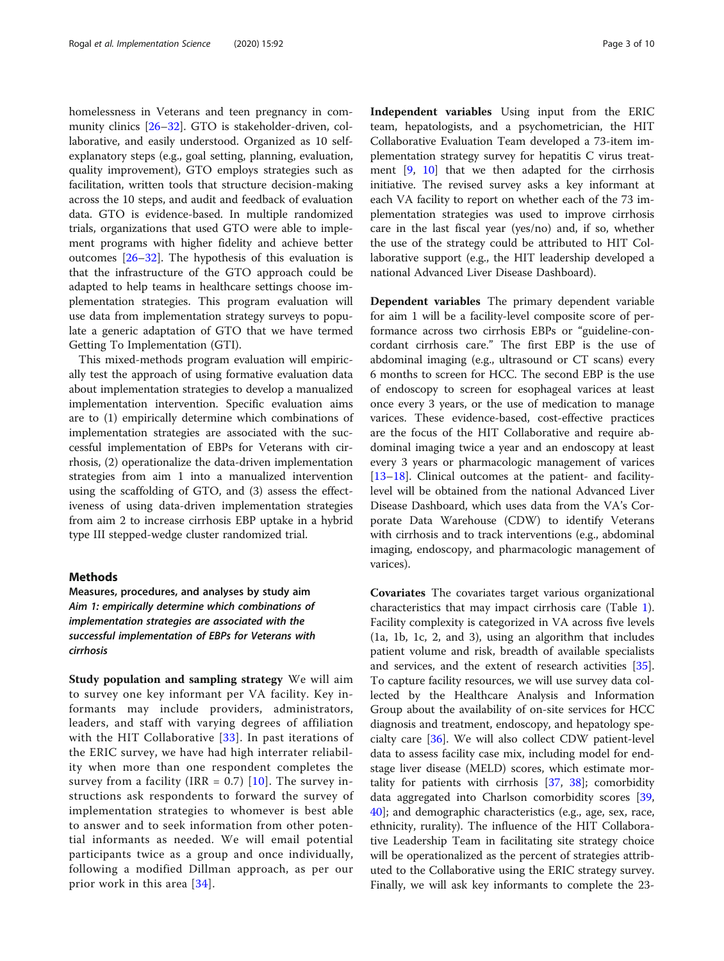homelessness in Veterans and teen pregnancy in community clinics [\[26](#page-9-0)–[32\]](#page-9-0). GTO is stakeholder-driven, collaborative, and easily understood. Organized as 10 selfexplanatory steps (e.g., goal setting, planning, evaluation, quality improvement), GTO employs strategies such as facilitation, written tools that structure decision-making across the 10 steps, and audit and feedback of evaluation data. GTO is evidence-based. In multiple randomized trials, organizations that used GTO were able to implement programs with higher fidelity and achieve better outcomes [[26](#page-9-0)–[32](#page-9-0)]. The hypothesis of this evaluation is that the infrastructure of the GTO approach could be adapted to help teams in healthcare settings choose implementation strategies. This program evaluation will use data from implementation strategy surveys to populate a generic adaptation of GTO that we have termed Getting To Implementation (GTI).

This mixed-methods program evaluation will empirically test the approach of using formative evaluation data about implementation strategies to develop a manualized implementation intervention. Specific evaluation aims are to (1) empirically determine which combinations of implementation strategies are associated with the successful implementation of EBPs for Veterans with cirrhosis, (2) operationalize the data-driven implementation strategies from aim 1 into a manualized intervention using the scaffolding of GTO, and (3) assess the effectiveness of using data-driven implementation strategies from aim 2 to increase cirrhosis EBP uptake in a hybrid type III stepped-wedge cluster randomized trial.

## Methods

Measures, procedures, and analyses by study aim Aim 1: empirically determine which combinations of implementation strategies are associated with the successful implementation of EBPs for Veterans with cirrhosis

Study population and sampling strategy We will aim to survey one key informant per VA facility. Key informants may include providers, administrators, leaders, and staff with varying degrees of affiliation with the HIT Collaborative [[33\]](#page-9-0). In past iterations of the ERIC survey, we have had high interrater reliability when more than one respondent completes the survey from a facility (IRR =  $0.7$ ) [\[10\]](#page-8-0). The survey instructions ask respondents to forward the survey of implementation strategies to whomever is best able to answer and to seek information from other potential informants as needed. We will email potential participants twice as a group and once individually, following a modified Dillman approach, as per our prior work in this area [[34](#page-9-0)].

Independent variables Using input from the ERIC team, hepatologists, and a psychometrician, the HIT Collaborative Evaluation Team developed a 73-item implementation strategy survey for hepatitis C virus treatment [[9,](#page-8-0) [10\]](#page-8-0) that we then adapted for the cirrhosis initiative. The revised survey asks a key informant at each VA facility to report on whether each of the 73 implementation strategies was used to improve cirrhosis care in the last fiscal year (yes/no) and, if so, whether the use of the strategy could be attributed to HIT Collaborative support (e.g., the HIT leadership developed a national Advanced Liver Disease Dashboard).

Dependent variables The primary dependent variable for aim 1 will be a facility-level composite score of performance across two cirrhosis EBPs or "guideline-concordant cirrhosis care." The first EBP is the use of abdominal imaging (e.g., ultrasound or CT scans) every 6 months to screen for HCC. The second EBP is the use of endoscopy to screen for esophageal varices at least once every 3 years, or the use of medication to manage varices. These evidence-based, cost-effective practices are the focus of the HIT Collaborative and require abdominal imaging twice a year and an endoscopy at least every 3 years or pharmacologic management of varices [[13](#page-9-0)–[18](#page-9-0)]. Clinical outcomes at the patient- and facilitylevel will be obtained from the national Advanced Liver Disease Dashboard, which uses data from the VA's Corporate Data Warehouse (CDW) to identify Veterans with cirrhosis and to track interventions (e.g., abdominal imaging, endoscopy, and pharmacologic management of varices).

Covariates The covariates target various organizational characteristics that may impact cirrhosis care (Table [1](#page-3-0)). Facility complexity is categorized in VA across five levels (1a, 1b, 1c, 2, and 3), using an algorithm that includes patient volume and risk, breadth of available specialists and services, and the extent of research activities [\[35](#page-9-0)]. To capture facility resources, we will use survey data collected by the Healthcare Analysis and Information Group about the availability of on-site services for HCC diagnosis and treatment, endoscopy, and hepatology specialty care [\[36](#page-9-0)]. We will also collect CDW patient-level data to assess facility case mix, including model for endstage liver disease (MELD) scores, which estimate mortality for patients with cirrhosis [\[37](#page-9-0), [38](#page-9-0)]; comorbidity data aggregated into Charlson comorbidity scores [[39](#page-9-0), [40\]](#page-9-0); and demographic characteristics (e.g., age, sex, race, ethnicity, rurality). The influence of the HIT Collaborative Leadership Team in facilitating site strategy choice will be operationalized as the percent of strategies attributed to the Collaborative using the ERIC strategy survey. Finally, we will ask key informants to complete the 23-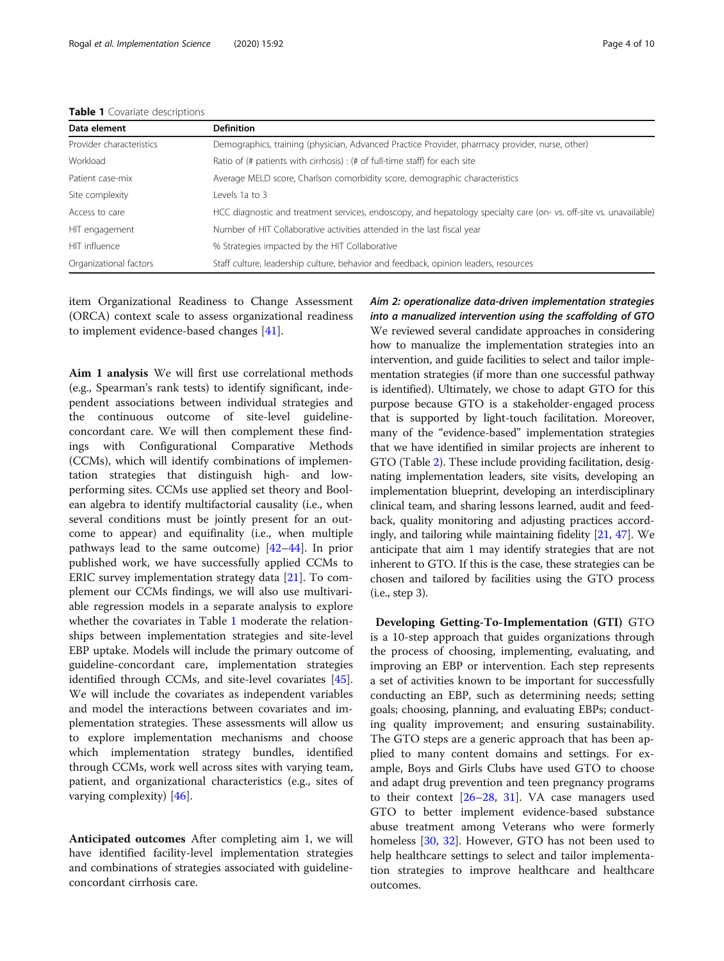| Data element             | <b>Definition</b>                                                                                                 |  |
|--------------------------|-------------------------------------------------------------------------------------------------------------------|--|
| Provider characteristics | Demographics, training (physician, Advanced Practice Provider, pharmacy provider, nurse, other)                   |  |
| Workload                 | Ratio of (# patients with cirrhosis) : (# of full-time staff) for each site                                       |  |
| Patient case-mix         | Average MELD score, Charlson comorbidity score, demographic characteristics                                       |  |
| Site complexity          | l evels 1a to 3                                                                                                   |  |
| Access to care           | HCC diagnostic and treatment services, endoscopy, and hepatology specialty care (on-vs. off-site vs. unavailable) |  |
| HIT engagement           | Number of HIT Collaborative activities attended in the last fiscal year                                           |  |
| HIT influence            | % Strategies impacted by the HIT Collaborative                                                                    |  |
| Organizational factors   | Staff culture, leadership culture, behavior and feedback, opinion leaders, resources                              |  |

<span id="page-3-0"></span>Table 1 Covariate descriptions

item Organizational Readiness to Change Assessment (ORCA) context scale to assess organizational readiness to implement evidence-based changes [\[41\]](#page-9-0).

Aim 1 analysis We will first use correlational methods (e.g., Spearman's rank tests) to identify significant, independent associations between individual strategies and the continuous outcome of site-level guidelineconcordant care. We will then complement these findings with Configurational Comparative Methods (CCMs), which will identify combinations of implementation strategies that distinguish high- and lowperforming sites. CCMs use applied set theory and Boolean algebra to identify multifactorial causality (i.e., when several conditions must be jointly present for an outcome to appear) and equifinality (i.e., when multiple pathways lead to the same outcome) [[42](#page-9-0)–[44](#page-9-0)]. In prior published work, we have successfully applied CCMs to ERIC survey implementation strategy data [\[21](#page-9-0)]. To complement our CCMs findings, we will also use multivariable regression models in a separate analysis to explore whether the covariates in Table 1 moderate the relationships between implementation strategies and site-level EBP uptake. Models will include the primary outcome of guideline-concordant care, implementation strategies identified through CCMs, and site-level covariates [\[45](#page-9-0)]. We will include the covariates as independent variables and model the interactions between covariates and implementation strategies. These assessments will allow us to explore implementation mechanisms and choose which implementation strategy bundles, identified through CCMs, work well across sites with varying team, patient, and organizational characteristics (e.g., sites of varying complexity) [\[46](#page-9-0)].

Anticipated outcomes After completing aim 1, we will have identified facility-level implementation strategies and combinations of strategies associated with guidelineconcordant cirrhosis care.

Aim 2: operationalize data-driven implementation strategies into a manualized intervention using the scaffolding of GTO We reviewed several candidate approaches in considering how to manualize the implementation strategies into an intervention, and guide facilities to select and tailor implementation strategies (if more than one successful pathway is identified). Ultimately, we chose to adapt GTO for this purpose because GTO is a stakeholder-engaged process that is supported by light-touch facilitation. Moreover, many of the "evidence-based" implementation strategies that we have identified in similar projects are inherent to GTO (Table [2](#page-4-0)). These include providing facilitation, designating implementation leaders, site visits, developing an implementation blueprint, developing an interdisciplinary clinical team, and sharing lessons learned, audit and feedback, quality monitoring and adjusting practices accordingly, and tailoring while maintaining fidelity [[21](#page-9-0), [47](#page-9-0)]. We anticipate that aim 1 may identify strategies that are not inherent to GTO. If this is the case, these strategies can be chosen and tailored by facilities using the GTO process (i.e., step 3).

Developing Getting-To-Implementation (GTI) GTO is a 10-step approach that guides organizations through the process of choosing, implementing, evaluating, and improving an EBP or intervention. Each step represents a set of activities known to be important for successfully conducting an EBP, such as determining needs; setting goals; choosing, planning, and evaluating EBPs; conducting quality improvement; and ensuring sustainability. The GTO steps are a generic approach that has been applied to many content domains and settings. For example, Boys and Girls Clubs have used GTO to choose and adapt drug prevention and teen pregnancy programs to their context  $[26-28, 31]$  $[26-28, 31]$  $[26-28, 31]$  $[26-28, 31]$  $[26-28, 31]$  $[26-28, 31]$ . VA case managers used GTO to better implement evidence-based substance abuse treatment among Veterans who were formerly homeless [[30,](#page-9-0) [32](#page-9-0)]. However, GTO has not been used to help healthcare settings to select and tailor implementation strategies to improve healthcare and healthcare outcomes.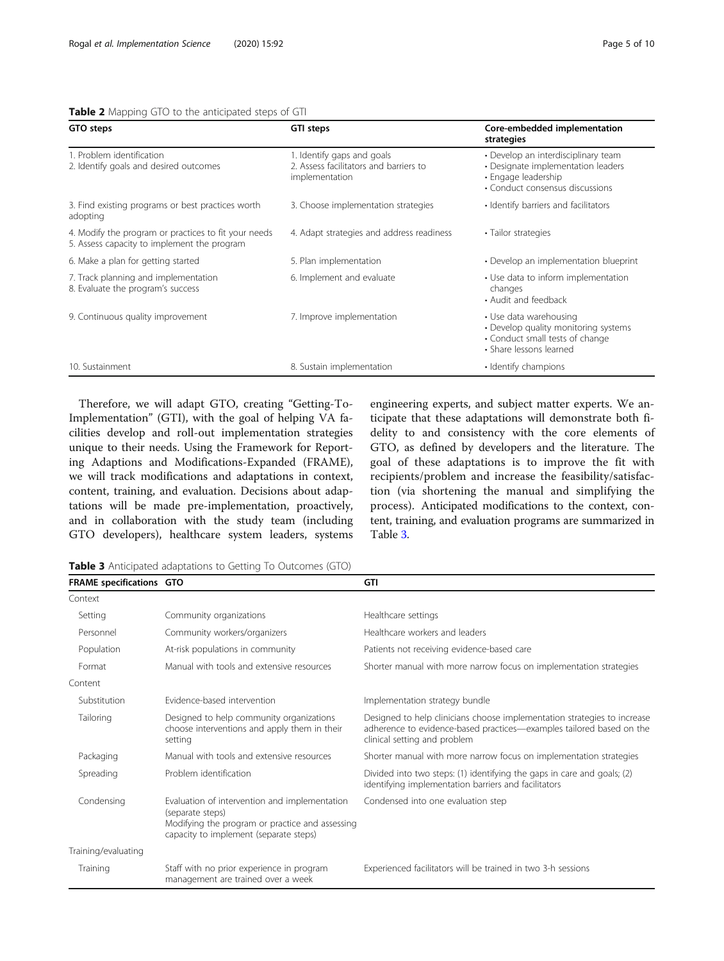#### <span id="page-4-0"></span>Table 2 Mapping GTO to the anticipated steps of GTI

| GTO steps                                                                                           | GTI steps                                                                              | Core-embedded implementation<br>strategies                                                                                          |
|-----------------------------------------------------------------------------------------------------|----------------------------------------------------------------------------------------|-------------------------------------------------------------------------------------------------------------------------------------|
| 1. Problem identification<br>2. Identify goals and desired outcomes                                 | 1. Identify gaps and goals<br>2. Assess facilitators and barriers to<br>implementation | • Develop an interdisciplinary team<br>• Designate implementation leaders<br>• Engage leadership<br>• Conduct consensus discussions |
| 3. Find existing programs or best practices worth<br>adopting                                       | 3. Choose implementation strategies                                                    | • Identify barriers and facilitators                                                                                                |
| 4. Modify the program or practices to fit your needs<br>5. Assess capacity to implement the program | 4. Adapt strategies and address readiness                                              | • Tailor strategies                                                                                                                 |
| 6. Make a plan for getting started                                                                  | 5. Plan implementation                                                                 | • Develop an implementation blueprint                                                                                               |
| 7. Track planning and implementation<br>8. Evaluate the program's success                           | 6. Implement and evaluate                                                              | • Use data to inform implementation<br>changes<br>• Audit and feedback                                                              |
| 9. Continuous quality improvement                                                                   | 7. Improve implementation                                                              | • Use data warehousing<br>• Develop quality monitoring systems<br>• Conduct small tests of change<br>• Share lessons learned        |
| 10. Sustainment                                                                                     | 8. Sustain implementation                                                              | • Identify champions                                                                                                                |

Therefore, we will adapt GTO, creating "Getting-To-Implementation" (GTI), with the goal of helping VA facilities develop and roll-out implementation strategies unique to their needs. Using the Framework for Reporting Adaptions and Modifications-Expanded (FRAME), we will track modifications and adaptations in context, content, training, and evaluation. Decisions about adaptations will be made pre-implementation, proactively, and in collaboration with the study team (including GTO developers), healthcare system leaders, systems engineering experts, and subject matter experts. We anticipate that these adaptations will demonstrate both fidelity to and consistency with the core elements of GTO, as defined by developers and the literature. The goal of these adaptations is to improve the fit with recipients/problem and increase the feasibility/satisfaction (via shortening the manual and simplifying the process). Anticipated modifications to the context, content, training, and evaluation programs are summarized in Table 3.

Table 3 Anticipated adaptations to Getting To Outcomes (GTO)

| <b>FRAME specifications GTO</b> |                                                                                                                                                                | GTI                                                                                                                                                                              |
|---------------------------------|----------------------------------------------------------------------------------------------------------------------------------------------------------------|----------------------------------------------------------------------------------------------------------------------------------------------------------------------------------|
| Context                         |                                                                                                                                                                |                                                                                                                                                                                  |
| Setting                         | Community organizations                                                                                                                                        | Healthcare settings                                                                                                                                                              |
| Personnel                       | Community workers/organizers                                                                                                                                   | Healthcare workers and leaders                                                                                                                                                   |
| Population                      | At-risk populations in community                                                                                                                               | Patients not receiving evidence-based care                                                                                                                                       |
| Format                          | Manual with tools and extensive resources                                                                                                                      | Shorter manual with more narrow focus on implementation strategies                                                                                                               |
| Content                         |                                                                                                                                                                |                                                                                                                                                                                  |
| Substitution                    | Evidence-based intervention                                                                                                                                    | Implementation strategy bundle                                                                                                                                                   |
| Tailoring                       | Designed to help community organizations<br>choose interventions and apply them in their<br>setting                                                            | Designed to help clinicians choose implementation strategies to increase<br>adherence to evidence-based practices-examples tailored based on the<br>clinical setting and problem |
| Packaging                       | Manual with tools and extensive resources                                                                                                                      | Shorter manual with more narrow focus on implementation strategies                                                                                                               |
| Spreading                       | Problem identification                                                                                                                                         | Divided into two steps: (1) identifying the gaps in care and goals; (2)<br>identifying implementation barriers and facilitators                                                  |
| Condensing                      | Evaluation of intervention and implementation<br>(separate steps)<br>Modifying the program or practice and assessing<br>capacity to implement (separate steps) | Condensed into one evaluation step                                                                                                                                               |
| Training/evaluating             |                                                                                                                                                                |                                                                                                                                                                                  |
| Training                        | Staff with no prior experience in program<br>management are trained over a week                                                                                | Experienced facilitators will be trained in two 3-h sessions                                                                                                                     |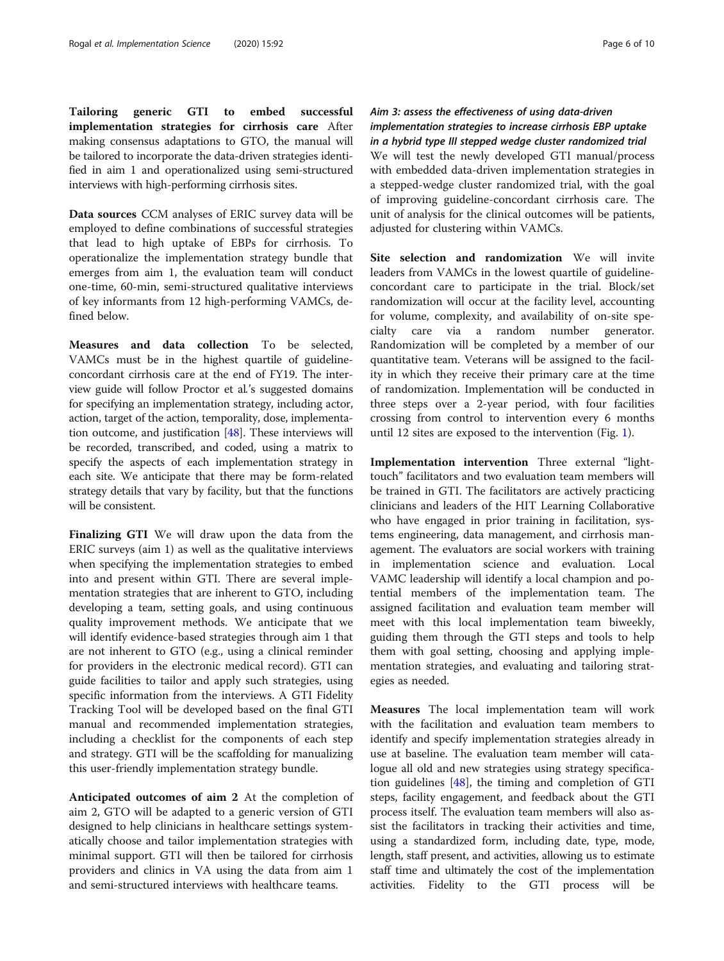Tailoring generic GTI to embed successful implementation strategies for cirrhosis care After making consensus adaptations to GTO, the manual will be tailored to incorporate the data-driven strategies identified in aim 1 and operationalized using semi-structured interviews with high-performing cirrhosis sites.

Data sources CCM analyses of ERIC survey data will be employed to define combinations of successful strategies that lead to high uptake of EBPs for cirrhosis. To operationalize the implementation strategy bundle that emerges from aim 1, the evaluation team will conduct one-time, 60-min, semi-structured qualitative interviews of key informants from 12 high-performing VAMCs, defined below.

Measures and data collection To be selected, VAMCs must be in the highest quartile of guidelineconcordant cirrhosis care at the end of FY19. The interview guide will follow Proctor et al.'s suggested domains for specifying an implementation strategy, including actor, action, target of the action, temporality, dose, implementation outcome, and justification [\[48\]](#page-9-0). These interviews will be recorded, transcribed, and coded, using a matrix to specify the aspects of each implementation strategy in each site. We anticipate that there may be form-related strategy details that vary by facility, but that the functions will be consistent.

Finalizing GTI We will draw upon the data from the ERIC surveys (aim 1) as well as the qualitative interviews when specifying the implementation strategies to embed into and present within GTI. There are several implementation strategies that are inherent to GTO, including developing a team, setting goals, and using continuous quality improvement methods. We anticipate that we will identify evidence-based strategies through aim 1 that are not inherent to GTO (e.g., using a clinical reminder for providers in the electronic medical record). GTI can guide facilities to tailor and apply such strategies, using specific information from the interviews. A GTI Fidelity Tracking Tool will be developed based on the final GTI manual and recommended implementation strategies, including a checklist for the components of each step and strategy. GTI will be the scaffolding for manualizing this user-friendly implementation strategy bundle.

Anticipated outcomes of aim 2 At the completion of aim 2, GTO will be adapted to a generic version of GTI designed to help clinicians in healthcare settings systematically choose and tailor implementation strategies with minimal support. GTI will then be tailored for cirrhosis providers and clinics in VA using the data from aim 1 and semi-structured interviews with healthcare teams.

## Aim 3: assess the effectiveness of using data-driven implementation strategies to increase cirrhosis EBP uptake in a hybrid type III stepped wedge cluster randomized trial We will test the newly developed GTI manual/process with embedded data-driven implementation strategies in

a stepped-wedge cluster randomized trial, with the goal of improving guideline-concordant cirrhosis care. The unit of analysis for the clinical outcomes will be patients, adjusted for clustering within VAMCs.

Site selection and randomization We will invite leaders from VAMCs in the lowest quartile of guidelineconcordant care to participate in the trial. Block/set randomization will occur at the facility level, accounting for volume, complexity, and availability of on-site specialty care via a random number generator. Randomization will be completed by a member of our quantitative team. Veterans will be assigned to the facility in which they receive their primary care at the time of randomization. Implementation will be conducted in three steps over a 2-year period, with four facilities crossing from control to intervention every 6 months until 12 sites are exposed to the intervention (Fig. [1\)](#page-6-0).

Implementation intervention Three external "lighttouch" facilitators and two evaluation team members will be trained in GTI. The facilitators are actively practicing clinicians and leaders of the HIT Learning Collaborative who have engaged in prior training in facilitation, systems engineering, data management, and cirrhosis management. The evaluators are social workers with training in implementation science and evaluation. Local VAMC leadership will identify a local champion and potential members of the implementation team. The assigned facilitation and evaluation team member will meet with this local implementation team biweekly, guiding them through the GTI steps and tools to help them with goal setting, choosing and applying implementation strategies, and evaluating and tailoring strategies as needed.

Measures The local implementation team will work with the facilitation and evaluation team members to identify and specify implementation strategies already in use at baseline. The evaluation team member will catalogue all old and new strategies using strategy specification guidelines [\[48](#page-9-0)], the timing and completion of GTI steps, facility engagement, and feedback about the GTI process itself. The evaluation team members will also assist the facilitators in tracking their activities and time, using a standardized form, including date, type, mode, length, staff present, and activities, allowing us to estimate staff time and ultimately the cost of the implementation activities. Fidelity to the GTI process will be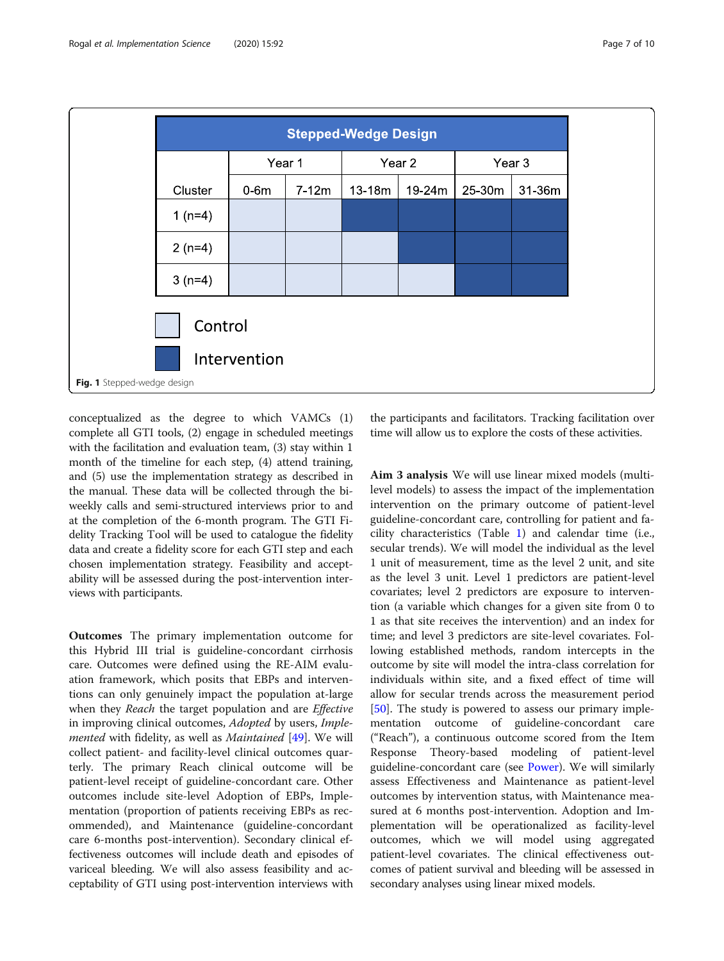<span id="page-6-0"></span>

conceptualized as the degree to which VAMCs (1) complete all GTI tools, (2) engage in scheduled meetings with the facilitation and evaluation team, (3) stay within 1 month of the timeline for each step, (4) attend training, and (5) use the implementation strategy as described in the manual. These data will be collected through the biweekly calls and semi-structured interviews prior to and at the completion of the 6-month program. The GTI Fidelity Tracking Tool will be used to catalogue the fidelity data and create a fidelity score for each GTI step and each chosen implementation strategy. Feasibility and acceptability will be assessed during the post-intervention interviews with participants.

Outcomes The primary implementation outcome for this Hybrid III trial is guideline-concordant cirrhosis care. Outcomes were defined using the RE-AIM evaluation framework, which posits that EBPs and interventions can only genuinely impact the population at-large when they Reach the target population and are Effective in improving clinical outcomes, Adopted by users, Imple-mented with fidelity, as well as Maintained [\[49](#page-9-0)]. We will collect patient- and facility-level clinical outcomes quarterly. The primary Reach clinical outcome will be patient-level receipt of guideline-concordant care. Other outcomes include site-level Adoption of EBPs, Implementation (proportion of patients receiving EBPs as recommended), and Maintenance (guideline-concordant care 6-months post-intervention). Secondary clinical effectiveness outcomes will include death and episodes of variceal bleeding. We will also assess feasibility and acceptability of GTI using post-intervention interviews with the participants and facilitators. Tracking facilitation over time will allow us to explore the costs of these activities.

Aim 3 analysis We will use linear mixed models (multilevel models) to assess the impact of the implementation intervention on the primary outcome of patient-level guideline-concordant care, controlling for patient and facility characteristics (Table [1\)](#page-3-0) and calendar time (i.e., secular trends). We will model the individual as the level 1 unit of measurement, time as the level 2 unit, and site as the level 3 unit. Level 1 predictors are patient-level covariates; level 2 predictors are exposure to intervention (a variable which changes for a given site from 0 to 1 as that site receives the intervention) and an index for time; and level 3 predictors are site-level covariates. Following established methods, random intercepts in the outcome by site will model the intra-class correlation for individuals within site, and a fixed effect of time will allow for secular trends across the measurement period [[50\]](#page-9-0). The study is powered to assess our primary implementation outcome of guideline-concordant care ("Reach"), a continuous outcome scored from the Item Response Theory-based modeling of patient-level guideline-concordant care (see [Power\)](#page-7-0). We will similarly assess Effectiveness and Maintenance as patient-level outcomes by intervention status, with Maintenance measured at 6 months post-intervention. Adoption and Implementation will be operationalized as facility-level outcomes, which we will model using aggregated patient-level covariates. The clinical effectiveness outcomes of patient survival and bleeding will be assessed in secondary analyses using linear mixed models.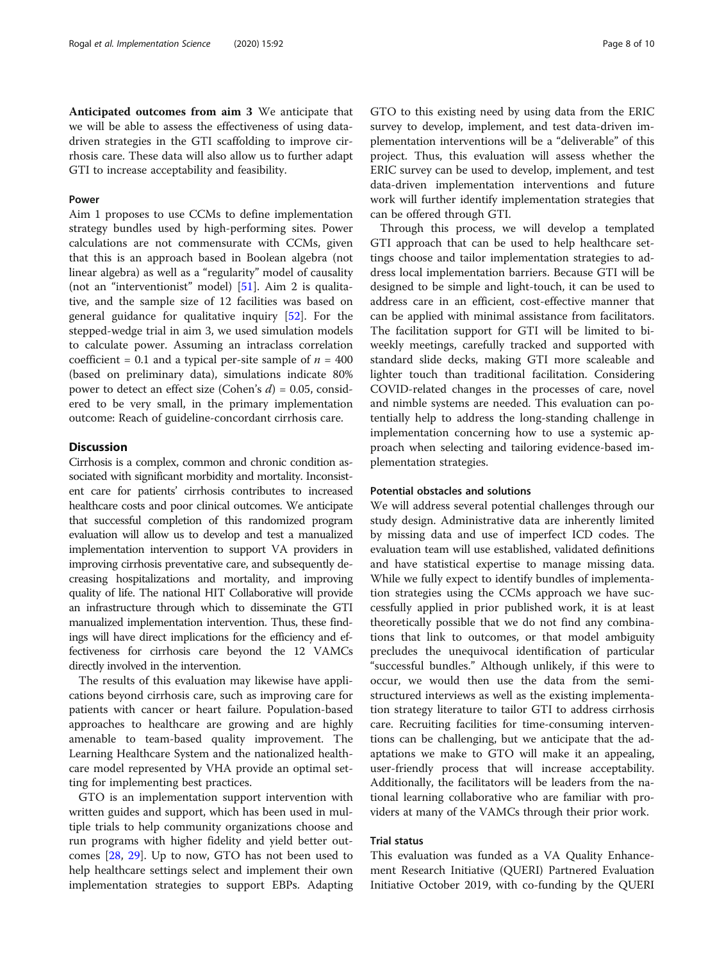<span id="page-7-0"></span>Anticipated outcomes from aim 3 We anticipate that we will be able to assess the effectiveness of using datadriven strategies in the GTI scaffolding to improve cirrhosis care. These data will also allow us to further adapt GTI to increase acceptability and feasibility.

## Power

Aim 1 proposes to use CCMs to define implementation strategy bundles used by high-performing sites. Power calculations are not commensurate with CCMs, given that this is an approach based in Boolean algebra (not linear algebra) as well as a "regularity" model of causality (not an "interventionist" model) [\[51](#page-9-0)]. Aim 2 is qualitative, and the sample size of 12 facilities was based on general guidance for qualitative inquiry [\[52](#page-9-0)]. For the stepped-wedge trial in aim 3, we used simulation models to calculate power. Assuming an intraclass correlation coefficient = 0.1 and a typical per-site sample of  $n = 400$ (based on preliminary data), simulations indicate 80% power to detect an effect size (Cohen's  $d$ ) = 0.05, considered to be very small, in the primary implementation outcome: Reach of guideline-concordant cirrhosis care.

## **Discussion**

Cirrhosis is a complex, common and chronic condition associated with significant morbidity and mortality. Inconsistent care for patients' cirrhosis contributes to increased healthcare costs and poor clinical outcomes. We anticipate that successful completion of this randomized program evaluation will allow us to develop and test a manualized implementation intervention to support VA providers in improving cirrhosis preventative care, and subsequently decreasing hospitalizations and mortality, and improving quality of life. The national HIT Collaborative will provide an infrastructure through which to disseminate the GTI manualized implementation intervention. Thus, these findings will have direct implications for the efficiency and effectiveness for cirrhosis care beyond the 12 VAMCs directly involved in the intervention.

The results of this evaluation may likewise have applications beyond cirrhosis care, such as improving care for patients with cancer or heart failure. Population-based approaches to healthcare are growing and are highly amenable to team-based quality improvement. The Learning Healthcare System and the nationalized healthcare model represented by VHA provide an optimal setting for implementing best practices.

GTO is an implementation support intervention with written guides and support, which has been used in multiple trials to help community organizations choose and run programs with higher fidelity and yield better outcomes [[28](#page-9-0), [29](#page-9-0)]. Up to now, GTO has not been used to help healthcare settings select and implement their own implementation strategies to support EBPs. Adapting

GTO to this existing need by using data from the ERIC survey to develop, implement, and test data-driven implementation interventions will be a "deliverable" of this project. Thus, this evaluation will assess whether the ERIC survey can be used to develop, implement, and test data-driven implementation interventions and future work will further identify implementation strategies that can be offered through GTI.

Through this process, we will develop a templated GTI approach that can be used to help healthcare settings choose and tailor implementation strategies to address local implementation barriers. Because GTI will be designed to be simple and light-touch, it can be used to address care in an efficient, cost-effective manner that can be applied with minimal assistance from facilitators. The facilitation support for GTI will be limited to biweekly meetings, carefully tracked and supported with standard slide decks, making GTI more scaleable and lighter touch than traditional facilitation. Considering COVID-related changes in the processes of care, novel and nimble systems are needed. This evaluation can potentially help to address the long-standing challenge in implementation concerning how to use a systemic approach when selecting and tailoring evidence-based implementation strategies.

## Potential obstacles and solutions

We will address several potential challenges through our study design. Administrative data are inherently limited by missing data and use of imperfect ICD codes. The evaluation team will use established, validated definitions and have statistical expertise to manage missing data. While we fully expect to identify bundles of implementation strategies using the CCMs approach we have successfully applied in prior published work, it is at least theoretically possible that we do not find any combinations that link to outcomes, or that model ambiguity precludes the unequivocal identification of particular "successful bundles." Although unlikely, if this were to occur, we would then use the data from the semistructured interviews as well as the existing implementation strategy literature to tailor GTI to address cirrhosis care. Recruiting facilities for time-consuming interventions can be challenging, but we anticipate that the adaptations we make to GTO will make it an appealing, user-friendly process that will increase acceptability. Additionally, the facilitators will be leaders from the national learning collaborative who are familiar with providers at many of the VAMCs through their prior work.

## Trial status

This evaluation was funded as a VA Quality Enhancement Research Initiative (QUERI) Partnered Evaluation Initiative October 2019, with co-funding by the QUERI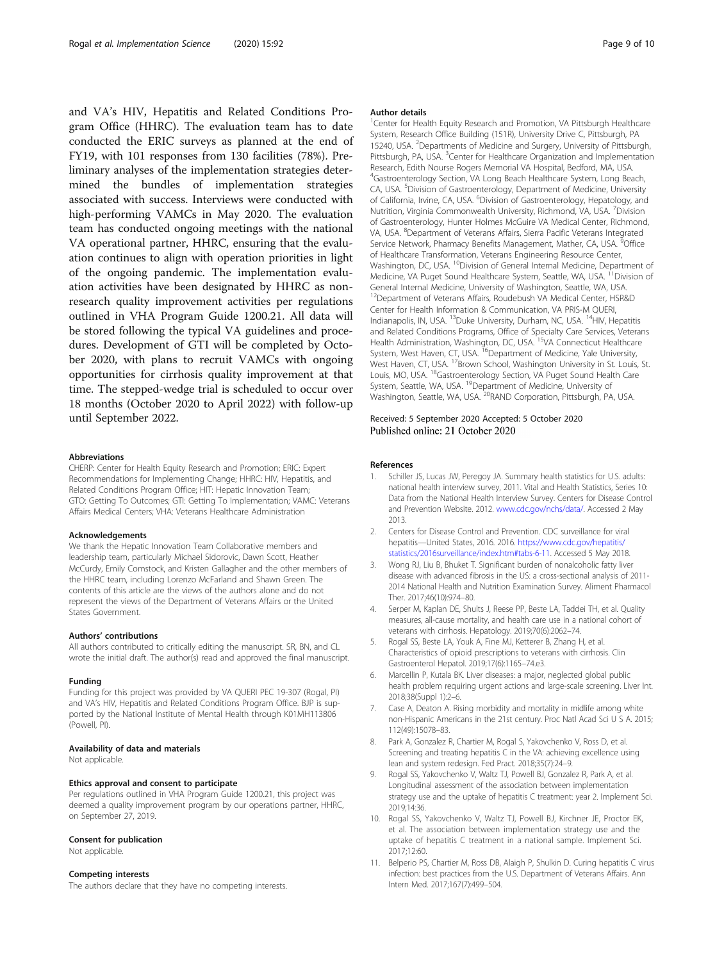<span id="page-8-0"></span>and VA's HIV, Hepatitis and Related Conditions Program Office (HHRC). The evaluation team has to date conducted the ERIC surveys as planned at the end of FY19, with 101 responses from 130 facilities (78%). Preliminary analyses of the implementation strategies determined the bundles of implementation strategies associated with success. Interviews were conducted with high-performing VAMCs in May 2020. The evaluation team has conducted ongoing meetings with the national VA operational partner, HHRC, ensuring that the evaluation continues to align with operation priorities in light of the ongoing pandemic. The implementation evaluation activities have been designated by HHRC as nonresearch quality improvement activities per regulations outlined in VHA Program Guide 1200.21. All data will be stored following the typical VA guidelines and procedures. Development of GTI will be completed by October 2020, with plans to recruit VAMCs with ongoing opportunities for cirrhosis quality improvement at that time. The stepped-wedge trial is scheduled to occur over 18 months (October 2020 to April 2022) with follow-up until September 2022.

#### Abbreviations

CHERP: Center for Health Equity Research and Promotion; ERIC: Expert Recommendations for Implementing Change; HHRC: HIV, Hepatitis, and Related Conditions Program Office; HIT: Hepatic Innovation Team; GTO: Getting To Outcomes; GTI: Getting To Implementation; VAMC: Veterans Affairs Medical Centers; VHA: Veterans Healthcare Administration

#### Acknowledgements

We thank the Hepatic Innovation Team Collaborative members and leadership team, particularly Michael Sidorovic, Dawn Scott, Heather McCurdy, Emily Comstock, and Kristen Gallagher and the other members of the HHRC team, including Lorenzo McFarland and Shawn Green. The contents of this article are the views of the authors alone and do not represent the views of the Department of Veterans Affairs or the United States Government.

#### Authors' contributions

All authors contributed to critically editing the manuscript. SR, BN, and CL wrote the initial draft. The author(s) read and approved the final manuscript.

#### Funding

Funding for this project was provided by VA QUERI PEC 19-307 (Rogal, PI) and VA's HIV, Hepatitis and Related Conditions Program Office. BJP is supported by the National Institute of Mental Health through K01MH113806 (Powell, PI).

#### Availability of data and materials

Not applicable.

## Ethics approval and consent to participate

Per regulations outlined in VHA Program Guide 1200.21, this project was deemed a quality improvement program by our operations partner, HHRC, on September 27, 2019.

#### Consent for publication

Not applicable.

#### Competing interests

The authors declare that they have no competing interests.

#### Author details

<sup>1</sup> Center for Health Equity Research and Promotion, VA Pittsburgh Healthcare System, Research Office Building (151R), University Drive C, Pittsburgh, PA 15240, USA. <sup>2</sup> Departments of Medicine and Surgery, University of Pittsburgh, Pittsburgh, PA, USA. <sup>3</sup> Center for Healthcare Organization and Implementation Research, Edith Nourse Rogers Memorial VA Hospital, Bedford, MA, USA. 4 Gastroenterology Section, VA Long Beach Healthcare System, Long Beach, CA, USA.<sup>5</sup> Division of Gastroenterology, Department of Medicine, University of California, Irvine, CA, USA. <sup>6</sup>Division of Gastroenterology, Hepatology, and Nutrition, Virginia Commonwealth University, Richmond, VA, USA. <sup>7</sup>Division of Gastroenterology, Hunter Holmes McGuire VA Medical Center, Richmond, VA, USA. <sup>8</sup>Department of Veterans Affairs, Sierra Pacific Veterans Integrated Service Network, Pharmacy Benefits Management, Mather, CA, USA. <sup>9</sup>Office of Healthcare Transformation, Veterans Engineering Resource Center, Washington, DC, USA. <sup>10</sup>Division of General Internal Medicine, Department of Medicine, VA Puget Sound Healthcare System, Seattle, WA, USA, <sup>11</sup>Division of General Internal Medicine, University of Washington, Seattle, WA, USA. <sup>12</sup>Department of Veterans Affairs, Roudebush VA Medical Center, HSR&D Center for Health Information & Communication, VA PRIS-M QUERI, Indianapolis, IN, USA. <sup>13</sup>Duke University, Durham, NC, USA. <sup>14</sup>HIV, Hepatitis and Related Conditions Programs, Office of Specialty Care Services, Veterans Health Administration, Washington, DC, USA. <sup>15</sup>VA Connecticut Healthcare System, West Haven, CT, USA. <sup>16</sup>Department of Medicine, Yale University, West Haven, CT, USA. <sup>17</sup>Brown School, Washington University in St. Louis, St. Louis, MO, USA. 18Gastroenterology Section, VA Puget Sound Health Care System, Seattle, WA, USA. <sup>19</sup>Department of Medicine, University of Washington, Seattle, WA, USA. <sup>20</sup>RAND Corporation, Pittsburgh, PA, USA.

#### Received: 5 September 2020 Accepted: 5 October 2020 Published online: 21 October 2020

#### References

- 1. Schiller JS, Lucas JW, Peregoy JA. Summary health statistics for U.S. adults: national health interview survey, 2011. Vital and Health Statistics, Series 10: Data from the National Health Interview Survey. Centers for Disease Control and Prevention Website. 2012. [www.cdc.gov/nchs/data/](http://www.cdc.gov/nchs/data/). Accessed 2 May 2013.
- 2. Centers for Disease Control and Prevention. CDC surveillance for viral hepatitis—United States, 2016. 2016. [https://www.cdc.gov/hepatitis/](https://www.cdc.gov/hepatitis/statistics/2016surveillance/index.htm#tabs-6-11) [statistics/2016surveillance/index.htm#tabs-6-11.](https://www.cdc.gov/hepatitis/statistics/2016surveillance/index.htm#tabs-6-11) Accessed 5 May 2018.
- 3. Wong RJ, Liu B, Bhuket T. Significant burden of nonalcoholic fatty liver disease with advanced fibrosis in the US: a cross-sectional analysis of 2011- 2014 National Health and Nutrition Examination Survey. Aliment Pharmacol Ther. 2017;46(10):974–80.
- 4. Serper M, Kaplan DE, Shults J, Reese PP, Beste LA, Taddei TH, et al. Quality measures, all-cause mortality, and health care use in a national cohort of veterans with cirrhosis. Hepatology. 2019;70(6):2062–74.
- 5. Rogal SS, Beste LA, Youk A, Fine MJ, Ketterer B, Zhang H, et al. Characteristics of opioid prescriptions to veterans with cirrhosis. Clin Gastroenterol Hepatol. 2019;17(6):1165–74.e3.
- 6. Marcellin P, Kutala BK. Liver diseases: a major, neglected global public health problem requiring urgent actions and large-scale screening. Liver Int. 2018;38(Suppl 1):2–6.
- 7. Case A, Deaton A. Rising morbidity and mortality in midlife among white non-Hispanic Americans in the 21st century. Proc Natl Acad Sci U S A. 2015; 112(49):15078–83.
- 8. Park A, Gonzalez R, Chartier M, Rogal S, Yakovchenko V, Ross D, et al. Screening and treating hepatitis C in the VA: achieving excellence using lean and system redesign. Fed Pract. 2018;35(7):24–9.
- Rogal SS, Yakovchenko V, Waltz TJ, Powell BJ, Gonzalez R, Park A, et al. Longitudinal assessment of the association between implementation strategy use and the uptake of hepatitis C treatment: year 2. Implement Sci. 2019;14:36.
- 10. Rogal SS, Yakovchenko V, Waltz TJ, Powell BJ, Kirchner JE, Proctor EK, et al. The association between implementation strategy use and the uptake of hepatitis C treatment in a national sample. Implement Sci. 2017;12:60.
- 11. Belperio PS, Chartier M, Ross DB, Alaigh P, Shulkin D. Curing hepatitis C virus infection: best practices from the U.S. Department of Veterans Affairs. Ann Intern Med. 2017;167(7):499–504.